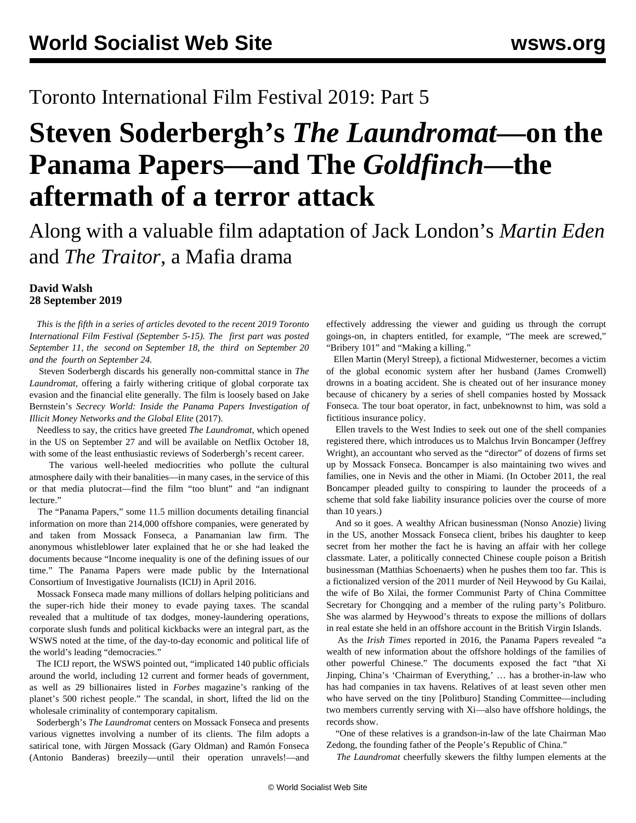# Toronto International Film Festival 2019: Part 5

# **Steven Soderbergh's** *The Laundromat***—on the Panama Papers—and The** *Goldfinch***—the aftermath of a terror attack**

Along with a valuable film adaptation of Jack London's *Martin Eden* and *The Traitor*, a Mafia drama

### **David Walsh 28 September 2019**

 *This is the fifth in a series of articles devoted to the recent 2019 Toronto International Film Festival (September 5-15). The [first part](/en/articles/2019/09/11/tff1-s11.html) was posted September 11, the [second](/en/articles/2019/09/18/tff2-s18.html) on September 18, the [third](/en/articles/2019/09/20/tff3-s20.html) on September 20 and the [fourth](/en/articles/2019/09/24/tff4-s24.html) on September 24.*

 Steven Soderbergh discards his generally non-committal stance in *The Laundromat*, offering a fairly withering critique of global corporate tax evasion and the financial elite generally. The film is loosely based on Jake Bernstein's *Secrecy World: Inside the Panama Papers Investigation of Illicit Money Networks and the Global Elite* (2017).

 Needless to say, the critics have greeted *The Laundromat*, which opened in the US on September 27 and will be available on Netflix October 18, with some of the least enthusiastic reviews of Soderbergh's recent career.

 The various well-heeled mediocrities who pollute the cultural atmosphere daily with their banalities—in many cases, in the service of this or that media plutocrat—find the film "too blunt" and "an indignant lecture."

 The "Panama Papers," some 11.5 million documents detailing financial information on more than 214,000 offshore companies, were generated by and taken from Mossack Fonseca, a Panamanian law firm. The anonymous whistleblower later explained that he or she had leaked the documents because "Income inequality is one of the defining issues of our time." The Panama Papers were made public by the International Consortium of Investigative Journalists (ICIJ) in April 2016.

 Mossack Fonseca made many millions of dollars helping politicians and the super-rich hide their money to evade paying taxes. The scandal revealed that a multitude of tax dodges, money-laundering operations, corporate slush funds and political kickbacks were an integral part, as the WSWS noted at the time, of the day-to-day economic and political life of the world's leading "democracies."

 The ICIJ report, the WSWS pointed out, "implicated 140 public officials around the world, including 12 current and former heads of government, as well as 29 billionaires listed in *Forbes* magazine's ranking of the planet's 500 richest people." The scandal, in short, lifted the lid on the wholesale criminality of contemporary capitalism.

 Soderbergh's *The Laundromat* centers on Mossack Fonseca and presents various vignettes involving a number of its clients. The film adopts a satirical tone, with Jürgen Mossack (Gary Oldman) and Ramón Fonseca (Antonio Banderas) breezily—until their operation unravels!—and effectively addressing the viewer and guiding us through the corrupt goings-on, in chapters entitled, for example, "The meek are screwed," "Bribery 101" and "Making a killing."

 Ellen Martin (Meryl Streep), a fictional Midwesterner, becomes a victim of the global economic system after her husband (James Cromwell) drowns in a boating accident. She is cheated out of her insurance money because of chicanery by a series of shell companies hosted by Mossack Fonseca. The tour boat operator, in fact, unbeknownst to him, was sold a fictitious insurance policy.

 Ellen travels to the West Indies to seek out one of the shell companies registered there, which introduces us to Malchus Irvin Boncamper (Jeffrey Wright), an accountant who served as the "director" of dozens of firms set up by Mossack Fonseca. Boncamper is also maintaining two wives and families, one in Nevis and the other in Miami. (In October 2011, the real Boncamper pleaded guilty to conspiring to launder the proceeds of a scheme that sold fake liability insurance policies over the course of more than 10 years.)

 And so it goes. A wealthy African businessman (Nonso Anozie) living in the US, another Mossack Fonseca client, bribes his daughter to keep secret from her mother the fact he is having an affair with her college classmate. Later, a politically connected Chinese couple poison a British businessman (Matthias Schoenaerts) when he pushes them too far. This is a fictionalized version of the 2011 murder of Neil Heywood by Gu Kailai, the wife of Bo Xilai, the former Communist Party of China Committee Secretary for Chongqing and a member of the ruling party's Politburo. She was alarmed by Heywood's threats to expose the millions of dollars in real estate she held in an offshore account in the British Virgin Islands.

 As the *Irish Times* reported in 2016, the Panama Papers revealed "a wealth of new information about the offshore holdings of the families of other powerful Chinese." The documents exposed the fact "that Xi Jinping, China's 'Chairman of Everything,' … has a brother-in-law who has had companies in tax havens. Relatives of at least seven other men who have served on the tiny [Politburo] Standing Committee—including two members currently serving with Xi—also have offshore holdings, the records show.

 "One of these relatives is a grandson-in-law of the late Chairman Mao Zedong, the founding father of the People's Republic of China."

*The Laundromat* cheerfully skewers the filthy lumpen elements at the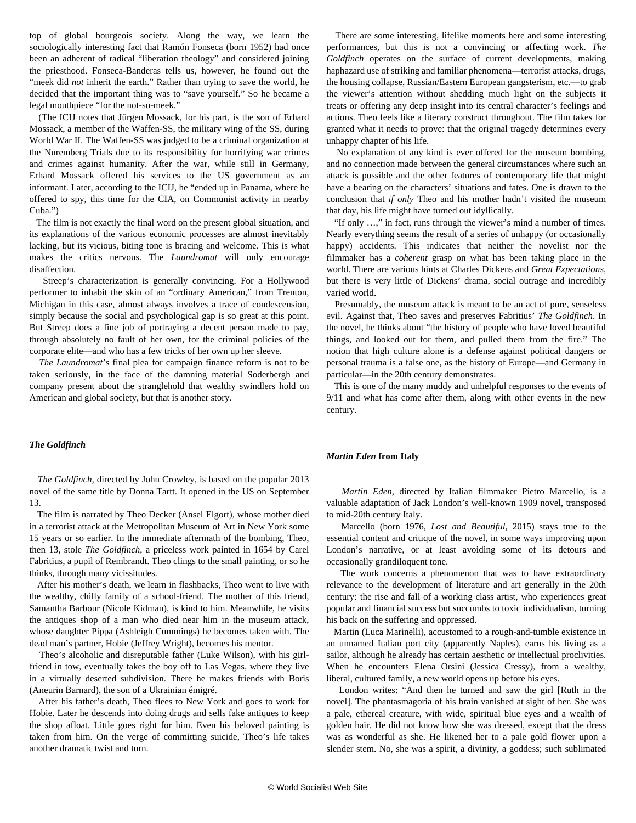top of global bourgeois society. Along the way, we learn the sociologically interesting fact that Ramón Fonseca (born 1952) had once been an adherent of radical "liberation theology" and considered joining the priesthood. Fonseca-Banderas tells us, however, he found out the "meek did *not* inherit the earth." Rather than trying to save the world, he decided that the important thing was to "save yourself." So he became a legal mouthpiece "for the not-so-meek."

 (The ICIJ notes that Jürgen Mossack, for his part, is the son of Erhard Mossack, a member of the Waffen-SS, the military wing of the SS, during World War II. The Waffen-SS was judged to be a criminal organization at the Nuremberg Trials due to its responsibility for horrifying war crimes and crimes against humanity. After the war, while still in Germany, Erhard Mossack offered his services to the US government as an informant. Later, according to the ICIJ, he "ended up in Panama, where he offered to spy, this time for the CIA, on Communist activity in nearby Cuba.")

 The film is not exactly the final word on the present global situation, and its explanations of the various economic processes are almost inevitably lacking, but its vicious, biting tone is bracing and welcome. This is what makes the critics nervous. The *Laundromat* will only encourage disaffection.

 Streep's characterization is generally convincing. For a Hollywood performer to inhabit the skin of an "ordinary American," from Trenton, Michigan in this case, almost always involves a trace of condescension, simply because the social and psychological gap is so great at this point. But Streep does a fine job of portraying a decent person made to pay, through absolutely no fault of her own, for the criminal policies of the corporate elite—and who has a few tricks of her own up her sleeve.

 *The Laundromat*'s final plea for campaign finance reform is not to be taken seriously, in the face of the damning material Soderbergh and company present about the stranglehold that wealthy swindlers hold on American and global society, but that is another story.

#### *The Goldfinch*

 *The Goldfinch*, directed by John Crowley, is based on the popular 2013 novel of the same title by Donna Tartt. It opened in the US on September 13.

 The film is narrated by Theo Decker (Ansel Elgort), whose mother died in a terrorist attack at the Metropolitan Museum of Art in New York some 15 years or so earlier. In the immediate aftermath of the bombing, Theo, then 13, stole *The Goldfinch*, a priceless work painted in 1654 by Carel Fabritius, a pupil of Rembrandt. Theo clings to the small painting, or so he thinks, through many vicissitudes.

 After his mother's death, we learn in flashbacks, Theo went to live with the wealthy, chilly family of a school-friend. The mother of this friend, Samantha Barbour (Nicole Kidman), is kind to him. Meanwhile, he visits the antiques shop of a man who died near him in the museum attack, whose daughter Pippa (Ashleigh Cummings) he becomes taken with. The dead man's partner, Hobie (Jeffrey Wright), becomes his mentor.

 Theo's alcoholic and disreputable father (Luke Wilson), with his girlfriend in tow, eventually takes the boy off to Las Vegas, where they live in a virtually deserted subdivision. There he makes friends with Boris (Aneurin Barnard), the son of a Ukrainian émigré.

 After his father's death, Theo flees to New York and goes to work for Hobie. Later he descends into doing drugs and sells fake antiques to keep the shop afloat. Little goes right for him. Even his beloved painting is taken from him. On the verge of committing suicide, Theo's life takes another dramatic twist and turn.

 There are some interesting, lifelike moments here and some interesting performances, but this is not a convincing or affecting work. *The Goldfinch* operates on the surface of current developments, making haphazard use of striking and familiar phenomena—terrorist attacks, drugs, the housing collapse, Russian/Eastern European gangsterism, etc.—to grab the viewer's attention without shedding much light on the subjects it treats or offering any deep insight into its central character's feelings and actions. Theo feels like a literary construct throughout. The film takes for granted what it needs to prove: that the original tragedy determines every unhappy chapter of his life.

 No explanation of any kind is ever offered for the museum bombing, and no connection made between the general circumstances where such an attack is possible and the other features of contemporary life that might have a bearing on the characters' situations and fates. One is drawn to the conclusion that *if only* Theo and his mother hadn't visited the museum that day, his life might have turned out idyllically.

 "If only …," in fact, runs through the viewer's mind a number of times. Nearly everything seems the result of a series of unhappy (or occasionally happy) accidents. This indicates that neither the novelist nor the filmmaker has a *coherent* grasp on what has been taking place in the world. There are various hints at Charles Dickens and *Great Expectations*, but there is very little of Dickens' drama, social outrage and incredibly varied world.

 Presumably, the museum attack is meant to be an act of pure, senseless evil. Against that, Theo saves and preserves Fabritius' *The Goldfinch*. In the novel, he thinks about "the history of people who have loved beautiful things, and looked out for them, and pulled them from the fire." The notion that high culture alone is a defense against political dangers or personal trauma is a false one, as the history of Europe—and Germany in particular—in the 20th century demonstrates.

 This is one of the many muddy and unhelpful responses to the events of 9/11 and what has come after them, along with other events in the new century.

#### *Martin Eden* **from Italy**

 *Martin Eden*, directed by Italian filmmaker Pietro Marcello, is a valuable adaptation of Jack London's well-known 1909 novel, transposed to mid-20th century Italy.

 Marcello (born 1976, *Lost and Beautiful*, 2015) stays true to the essential content and critique of the novel, in some ways improving upon London's narrative, or at least avoiding some of its detours and occasionally grandiloquent tone.

 The work concerns a phenomenon that was to have extraordinary relevance to the development of literature and art generally in the 20th century: the rise and fall of a working class artist, who experiences great popular and financial success but succumbs to toxic individualism, turning his back on the suffering and oppressed.

 Martin (Luca Marinelli), accustomed to a rough-and-tumble existence in an unnamed Italian port city (apparently Naples), earns his living as a sailor, although he already has certain aesthetic or intellectual proclivities. When he encounters Elena Orsini (Jessica Cressy), from a wealthy, liberal, cultured family, a new world opens up before his eyes.

 London writes: "And then he turned and saw the girl [Ruth in the novel]. The phantasmagoria of his brain vanished at sight of her. She was a pale, ethereal creature, with wide, spiritual blue eyes and a wealth of golden hair. He did not know how she was dressed, except that the dress was as wonderful as she. He likened her to a pale gold flower upon a slender stem. No, she was a spirit, a divinity, a goddess; such sublimated